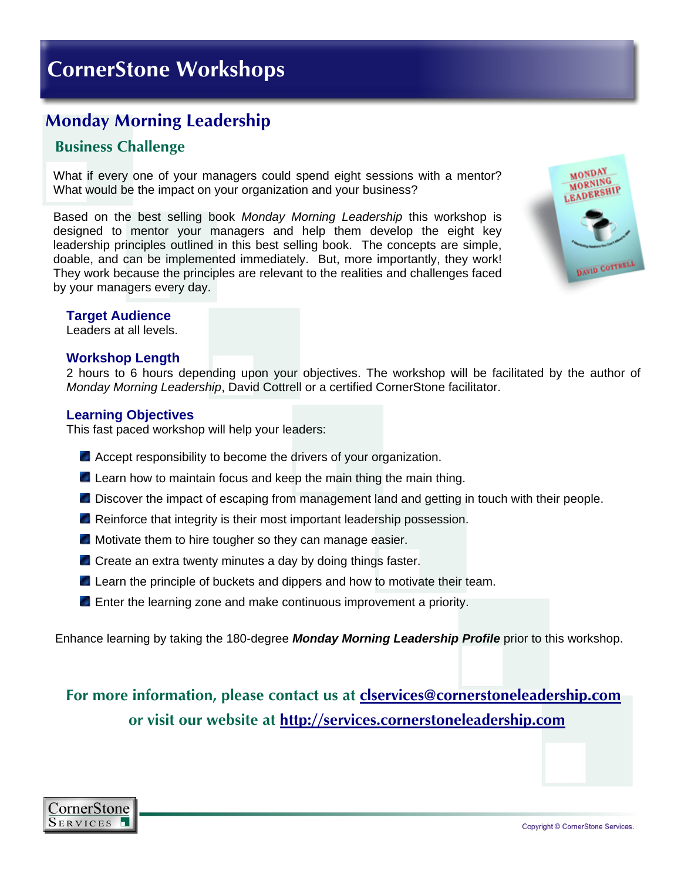# **Monday Morning Leadership**

### **Business Challenge**

What if every one of your managers could spend eight sessions with a mentor? What would be the impact on your organization and your business?

Based on the best selling book *Monday Morning Leadership* this workshop is designed to mentor your managers and help them develop the eight key leadership principles outlined in this best selling book. The concepts are simple, doable, and can be implemented immediately. But, more importantly, they work! They work because the principles are relevant to the realities and challenges faced by your managers every day.



#### **Target Audience**

Leaders at all levels.

#### **Workshop Length**

2 hours to 6 hours depending upon your objectives. The workshop will be facilitated by the author of *Monday Morning Leadership*, David Cottrell or a certified CornerStone facilitator.

#### **Learning Objectives**

This fast paced workshop will help your leaders:

- Accept responsibility to become the drivers of your organization.
- **Learn how to maintain focus and keep the main thing the main thing.**
- **Discover the impact of escaping from management land and getting in touch with their people.**
- **Reinforce that integrity is their most important leadership possession.**
- **Motivate them to hire tougher so they can manage easier.**
- Create an extra twenty minutes a day by doing things faster.
- **Learn the principle of buckets and dippers and how to motivate their team.**
- **E** Enter the learning zone and make continuous improvement a priority.

Enhance learning by taking the 180-degree *Monday Morning Leadership Profile* prior to this workshop.

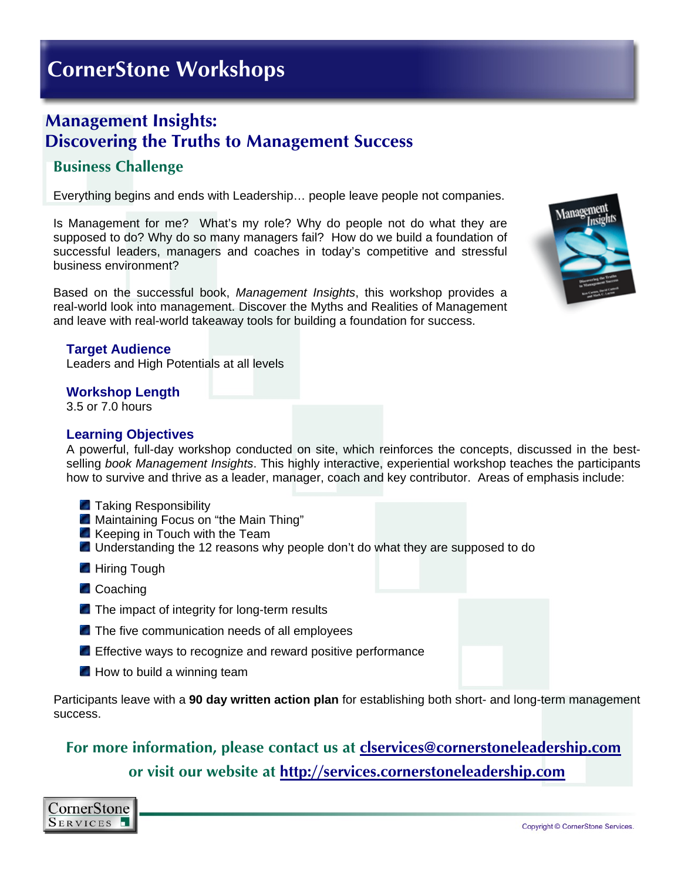## **Management Insights: Discovering the Truths to Management Success**

## **Business Challenge**

Everything begins and ends with Leadership… people leave people not companies.

Is Management for me? What's my role? Why do people not do what they are supposed to do? Why do so many managers fail? How do we build a foundation of successful leaders, managers and coaches in today's competitive and stressful business environment?

Based on the successful book, *Management Insights*, this workshop provides a real-world look into management. Discover the Myths and Realities of Management and leave with real-world takeaway tools for building a foundation for success.

#### **Target Audience**

Leaders and High Potentials at all levels

#### **Workshop Length**

3.5 or 7.0 hours

#### **Learning Objectives**

A powerful, full-day workshop conducted on site, which reinforces the concepts, discussed in the bestselling *book Management Insights*. This highly interactive, experiential workshop teaches the participants how to survive and thrive as a leader, manager, coach and key contributor. Areas of emphasis include:

- **Taking Responsibility**
- **Maintaining Focus on "the Main Thing"**
- $\blacksquare$  Keeping in Touch with the Team
- **Understanding the 12 reasons why people don't do what they are supposed to do**
- **Hiring Tough**
- **Coaching**
- The impact of integrity for long-term results
- The five communication needs of all employees
- **Effective ways to recognize and reward positive performance**
- $\blacksquare$  How to build a winning team

Participants leave with a **90 day written action plan** for establishing both short- and long-term management success.

## **For more information, please contact us at [clservices@cornerstoneleadership.com](mailto:clservices@cornerstoneleadership.com)**

**or visit our website at [http://services.cornerstoneleadership.com](http://services.cornerstoneleadership.com/)**



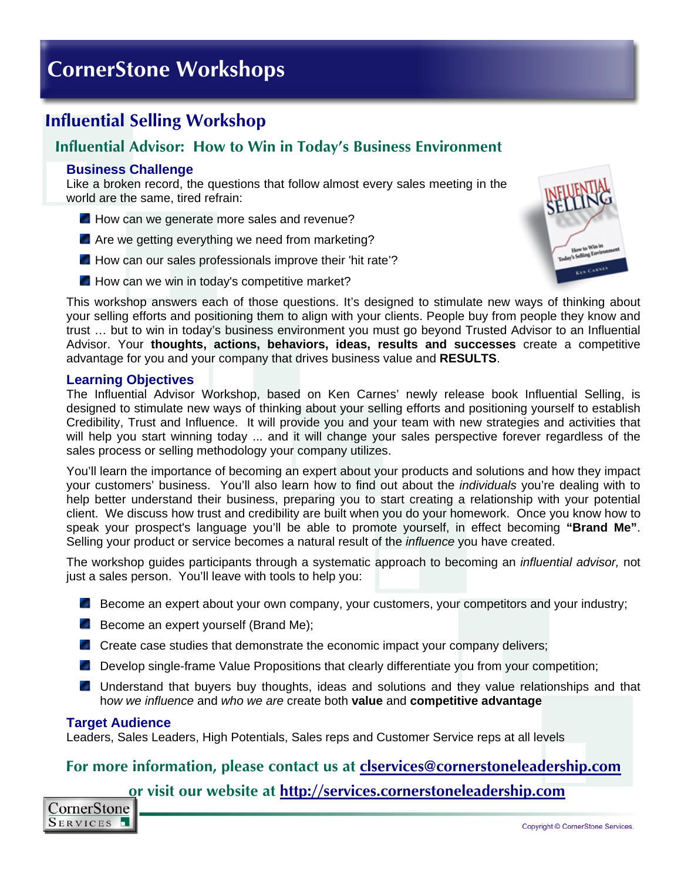# **Influential Selling Workshop**

### **Influential Advisor: How to Win in Today's Business Environment**

#### **Business Challenge**

Like a broken record, the questions that follow almost every sales meeting in the world are the same, tired refrain:

- How can we generate more sales and revenue?
- Are we getting everything we need from marketing?
- How can our sales professionals improve their 'hit rate'?
- How can we win in today's competitive market?



This workshop answers each of those questions. It's designed to stimulate new ways of thinking about your selling efforts and positioning them to align with your clients. People buy from people they know and trust … but to win in today's business environment you must go beyond Trusted Advisor to an Influential Advisor. Your **thoughts, actions, behaviors, ideas, results and successes** create a competitive advantage for you and your company that drives business value and **RESULTS**.

#### **Learning Objectives**

The Influential Advisor Workshop, based on Ken Carnes' newly release book Influential Selling, is designed to stimulate new ways of thinking about your selling efforts and positioning yourself to establish Credibility, Trust and Influence. It will provide you and your team with new strategies and activities that will help you start winning today ... and it will change your sales perspective forever regardless of the sales process or selling methodology your company utilizes.

You'll learn the importance of becoming an expert about your products and solutions and how they impact your customers' business. You'll also learn how to find out about the *individuals* you're dealing with to help better understand their business, preparing you to start creating a relationship with your potential client. We discuss how trust and credibility are built when you do your homework. Once you know how to speak your prospect's language you'll be able to promote yourself, in effect becoming **"Brand Me"**. Selling your product or service becomes a natural result of the *influence* you have created.

The workshop guides participants through a systematic approach to becoming an *influential advisor,* not just a sales person. You'll leave with tools to help you:

- Become an expert about your own company, your customers, your competitors and your industry;
- Become an expert yourself (Brand Me);
- Create case studies that demonstrate the economic impact your company delivers;
- **Develop single-frame Value Propositions that clearly differentiate you from your competition;**
- **Understand that buyers buy thoughts, ideas and solutions and they value relationships and that** h*ow we influence* and *who we are* create both **value** and **competitive advantage**

#### **Target Audience**

Leaders, Sales Leaders, High Potentials, Sales reps and Customer Service reps at all levels

### **For more information, please contact us at [clservices@cornerstoneleadership.com](mailto:clservices@cornerstoneleadership.com)**

**or visit our website at [http://services.cornerstoneleadership.com](http://services.cornerstoneleadership.com/)**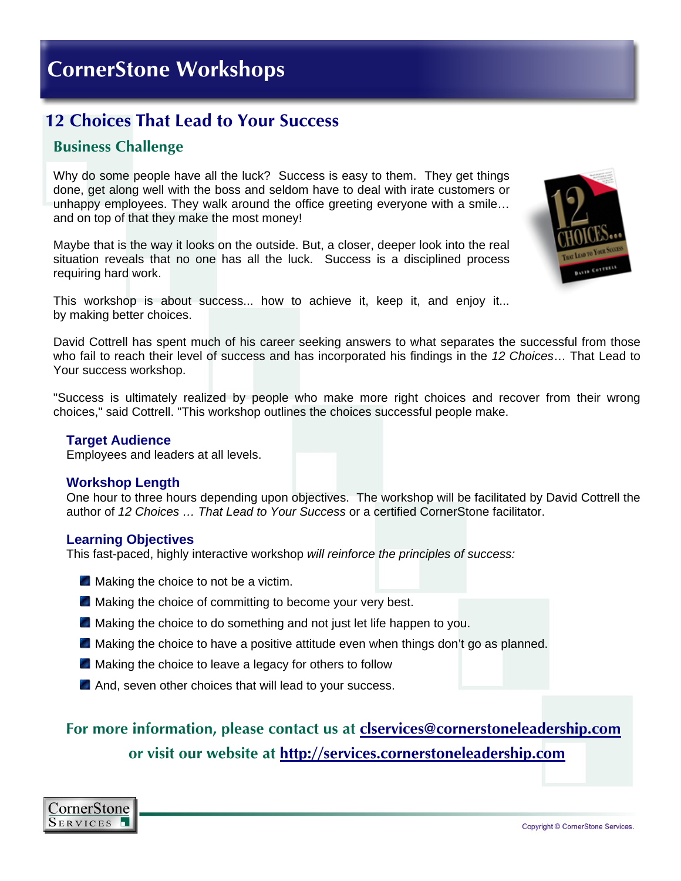## **12 Choices That Lead to Your Success**

### **Business Challenge**

Why do some people have all the luck? Success is easy to them. They get things done, get along well with the boss and seldom have to deal with irate customers or unhappy employees. They walk around the office greeting everyone with a smile… and on top of that they make the most money!

Maybe that is the way it looks on the outside. But, a closer, deeper look into the real situation reveals that no one has all the luck. Success is a disciplined process requiring hard work.



This workshop is about success... how to achieve it, keep it, and enjoy it... by making better choices.

David Cottrell has spent much of his career seeking answers to what separates the successful from those who fail to reach their level of success and has incorporated his findings in the *12 Choices*… That Lead to Your success workshop.

"Success is ultimately realized by people who make more right choices and recover from their wrong choices," said Cottrell. "This workshop outlines the choices successful people make.

#### **Target Audience**

Employees and leaders at all levels.

#### **Workshop Length**

One hour to three hours depending upon objectives. The workshop will be facilitated by David Cottrell the author of *12 Choices … That Lead to Your Success* or a certified CornerStone facilitator.

#### **Learning Objectives**

This fast-paced, highly interactive workshop *will reinforce the principles of success:*

- **Making the choice to not be a victim.**
- **Making the choice of committing to become your very best.**
- **A** Making the choice to do something and not just let life happen to you.
- $\blacksquare$  Making the choice to have a positive attitude even when things don't go as planned.
- **Making the choice to leave a legacy for others to follow**
- And, seven other choices that will lead to your success.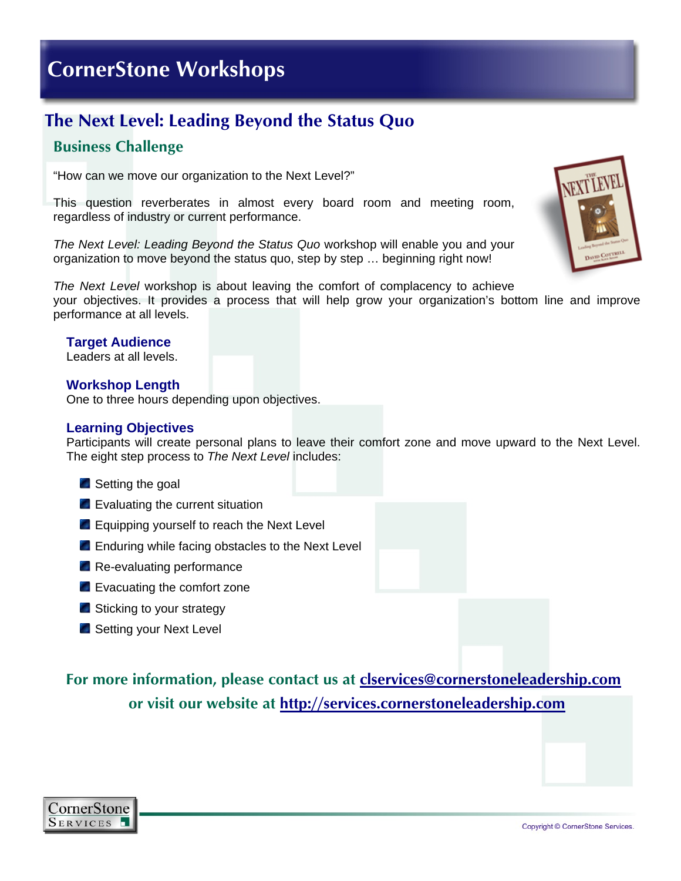# **The Next Level: Leading Beyond the Status Quo**

### **Business Challenge**

"How can we move our organization to the Next Level?"

This question reverberates in almost every board room and meeting room, regardless of industry or current performance.

*The Next Level: Leading Beyond the Status Quo* workshop will enable you and your organization to move beyond the status quo, step by step … beginning right now!

*The Next Level* workshop is about leaving the comfort of complacency to achieve your objectives. It provides a process that will help grow your organization's bottom line and improve performance at all levels.

#### **Target Audience**

Leaders at all levels.

#### **Workshop Length**

One to three hours depending upon objectives.

#### **Learning Objectives**

Participants will create personal plans to leave their comfort zone and move upward to the Next Level. The eight step process to *The Next Level* includes:

- Setting the goal
- **Exaluating the current situation**
- Equipping yourself to reach the Next Level
- **Enduring while facing obstacles to the Next Level**
- **Re-evaluating performance**
- Evacuating the comfort zone
- Sticking to your strategy
- Setting your Next Level

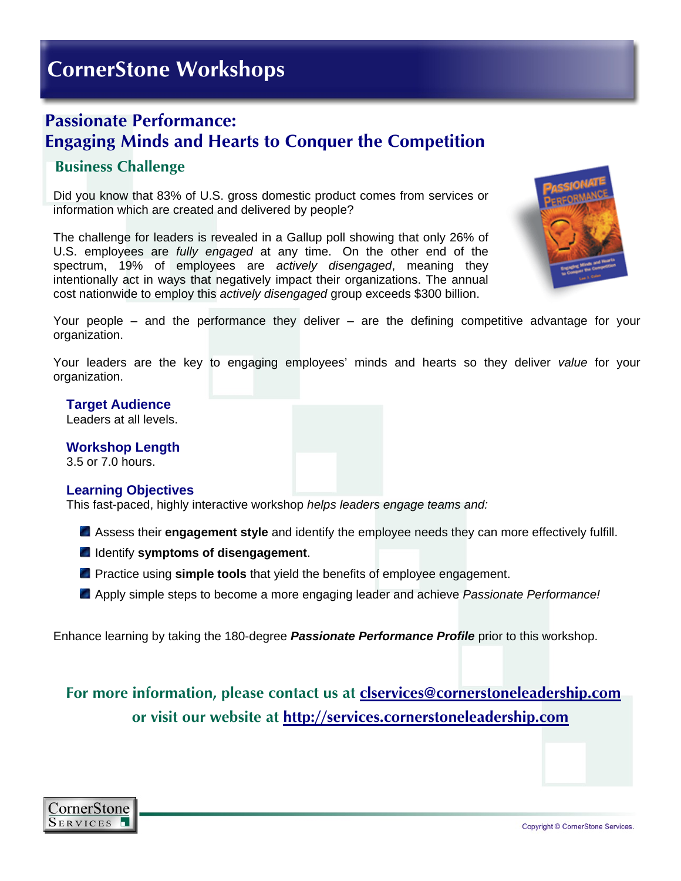## **Passionate Performance: Engaging Minds and Hearts to Conquer the Competition**

### **Business Challenge**

Did you know that 83% of U.S. gross domestic product comes from services or information which are created and delivered by people?

The challenge for leaders is revealed in a Gallup poll showing that only 26% of U.S. employees are *fully engaged* at any time. On the other end of the spectrum, 19% of employees are *actively disengaged*, meaning they intentionally act in ways that negatively impact their organizations. The annual cost nationwide to employ this *actively disengaged* group exceeds \$300 billion.



Your people – and the performance they deliver – are the defining competitive advantage for your organization.

Your leaders are the key to engaging employees' minds and hearts so they deliver *value* for your organization.

#### **Target Audience**

Leaders at all levels.

**Workshop Length**  3.5 or 7.0 hours.

#### **Learning Objectives**

This fast-paced, highly interactive workshop *helps leaders engage teams and:*

Assess their **engagement style** and identify the employee needs they can more effectively fulfill.

- Identify **symptoms of disengagement**.
- **P** Practice using **simple tools** that yield the benefits of employee engagement.
- Apply simple steps to become a more engaging leader and achieve *Passionate Performance!*

Enhance learning by taking the 180-degree *Passionate Performance Profile* prior to this workshop.

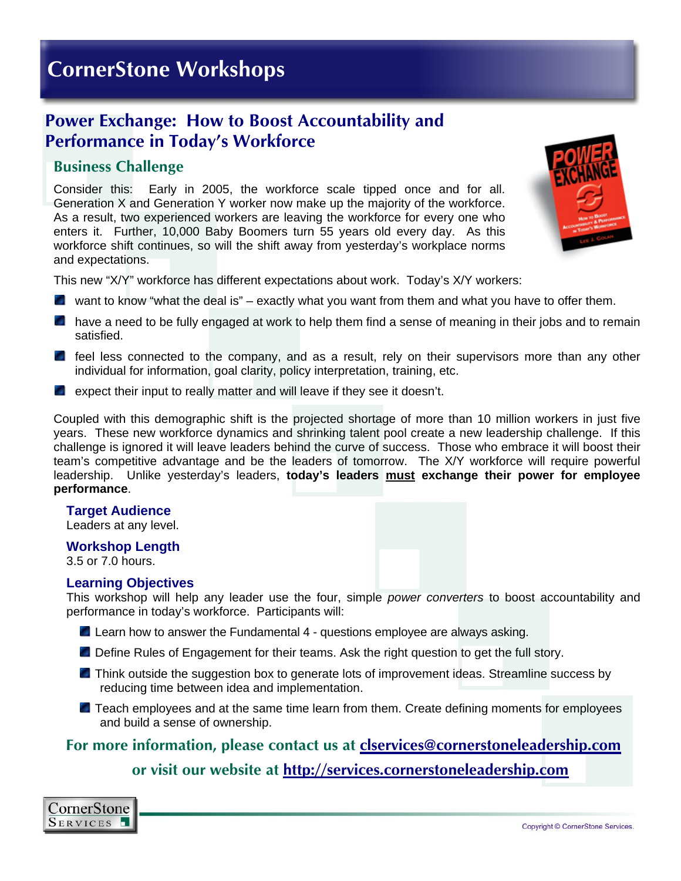## **Power Exchange: How to Boost Accountability and Performance in Today's Workforce**

### **Business Challenge**

Consider this: Early in 2005, the workforce scale tipped once and for all. Generation X and Generation Y worker now make up the majority of the workforce. As a result, two experienced workers are leaving the workforce for every one who enters it. Further, 10,000 Baby Boomers turn 55 years old every day. As this workforce shift continues, so will the shift away from yesterday's workplace norms and expectations.



This new "X/Y" workforce has different expectations about work. Today's X/Y workers:

- $\blacksquare$  want to know "what the deal is" exactly what you want from them and what you have to offer them.
- **n** have a need to be fully engaged at work to help them find a sense of meaning in their jobs and to remain satisfied.
- **f** feel less connected to the company, and as a result, rely on their supervisors more than any other individual for information, goal clarity, policy interpretation, training, etc.
- $\blacksquare$  expect their input to really matter and will leave if they see it doesn't.

Coupled with this demographic shift is the projected shortage of more than 10 million workers in just five years. These new workforce dynamics and shrinking talent pool create a new leadership challenge. If this challenge is ignored it will leave leaders behind the curve of success. Those who embrace it will boost their team's competitive advantage and be the leaders of tomorrow. The X/Y workforce will require powerful leadership.Unlike yesterday's leaders, **today's leaders must exchange their power for employee performance**.

#### **Target Audience**

Leaders at any level.

#### **Workshop Length**

3.5 or 7.0 hours.

#### **Learning Objectives**

This workshop will help any leader use the four, simple *power converters* to boost accountability and performance in today's workforce. Participants will:

- **Learn how to answer the Fundamental 4 questions employee are always asking.**
- Define Rules of Engagement for their teams. Ask the right question to get the full story.
- **T** Think outside the suggestion box to generate lots of improvement ideas. Streamline success by reducing time between idea and implementation.
- **Teach employees and at the same time learn from them. Create defining moments for employees** and build a sense of ownership.

### **For more information, please contact us at [clservices@cornerstoneleadership.com](mailto:clservices@cornerstoneleadership.com)**

**or visit our website at [http://services.cornerstoneleadership.com](http://services.cornerstoneleadership.com/)**

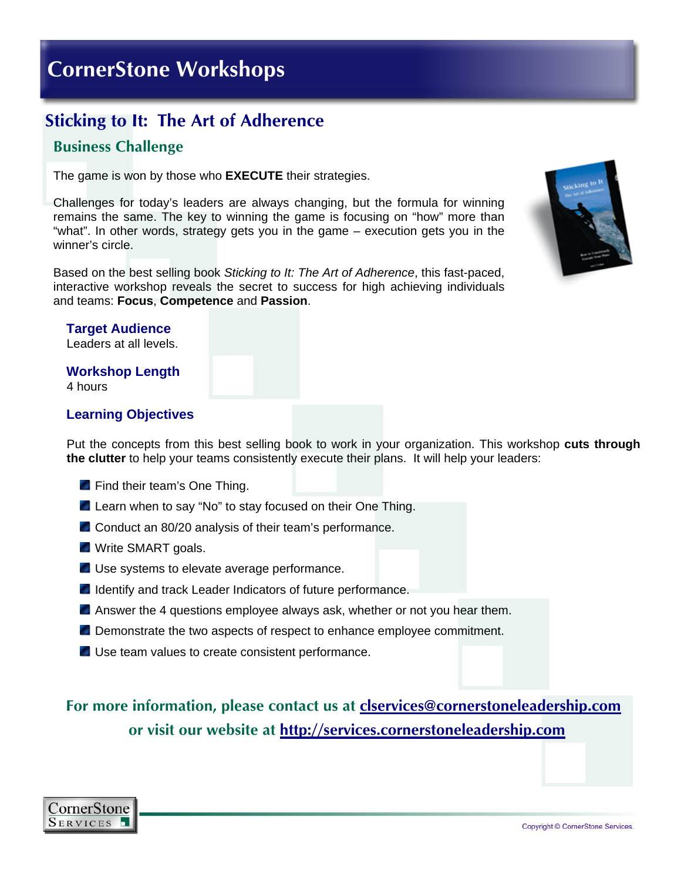# **Sticking to It: The Art of Adherence**

### **Business Challenge**

The game is won by those who **EXECUTE** their strategies.

Challenges for today's leaders are always changing, but the formula for winning remains the same. The key to winning the game is focusing on "how" more than "what". In other words, strategy gets you in the game – execution gets you in the winner's circle.

Based on the best selling book *Sticking to It: The Art of Adherence*, this fast-paced, interactive workshop reveals the secret to success for high achieving individuals and teams: **Focus**, **Competence** and **Passion**.



#### **Target Audience**  Leaders at all levels.

**Workshop Length** 

4 hours

#### **Learning Objectives**

Put the concepts from this best selling book to work in your organization. This workshop **cuts through the clutter** to help your teams consistently execute their plans. It will help your leaders:

- **Find their team's One Thing.**
- **Learn when to say "No" to stay focused on their One Thing.**
- Conduct an 80/20 analysis of their team's performance.
- **N** Write SMART goals.
- Use systems to elevate average performance.
- **In Identify and track Leader Indicators of future performance.**
- **A** Answer the 4 questions employee always ask, whether or not you hear them.
- **Demonstrate the two aspects of respect to enhance employee commitment.**
- Use team values to create consistent performance.

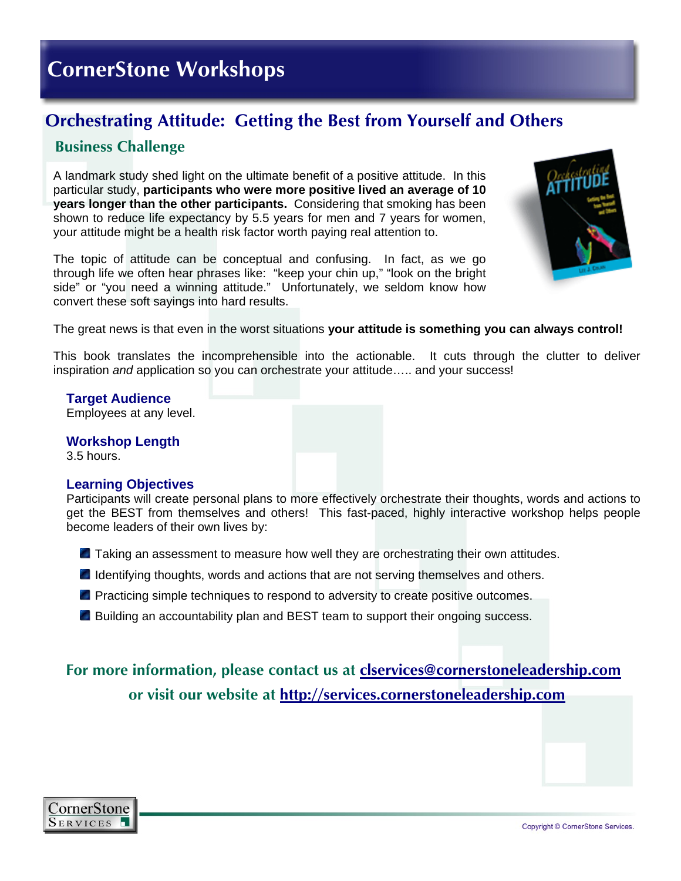# **Orchestrating Attitude: Getting the Best from Yourself and Others**

### **Business Challenge**

A landmark study shed light on the ultimate benefit of a positive attitude. In this particular study, **participants who were more positive lived an average of 10 years longer than the other participants.** Considering that smoking has been shown to reduce life expectancy by 5.5 years for men and 7 years for women, your attitude might be a health risk factor worth paying real attention to.

The topic of attitude can be conceptual and confusing. In fact, as we go through life we often hear phrases like: "keep your chin up," "look on the bright side" or "you need a winning attitude." Unfortunately, we seldom know how convert these soft sayings into hard results.



The great news is that even in the worst situations **your attitude is something you can always control!**

This book translates the incomprehensible into the actionable. It cuts through the clutter to deliver inspiration *and* application so you can orchestrate your attitude….. and your success!

**Target Audience**  Employees at any level.

**Workshop Length** 

3.5 hours.

#### **Learning Objectives**

Participants will create personal plans to more effectively orchestrate their thoughts, words and actions to get the BEST from themselves and others! This fast-paced, highly interactive workshop helps people become leaders of their own lives by:

- **T** Taking an assessment to measure how well they are orchestrating their own attitudes.
- **If Identifying thoughts, words and actions that are not serving themselves and others.**
- **P** Practicing simple techniques to respond to adversity to create positive outcomes.
- **Building an accountability plan and BEST team to support their ongoing success.**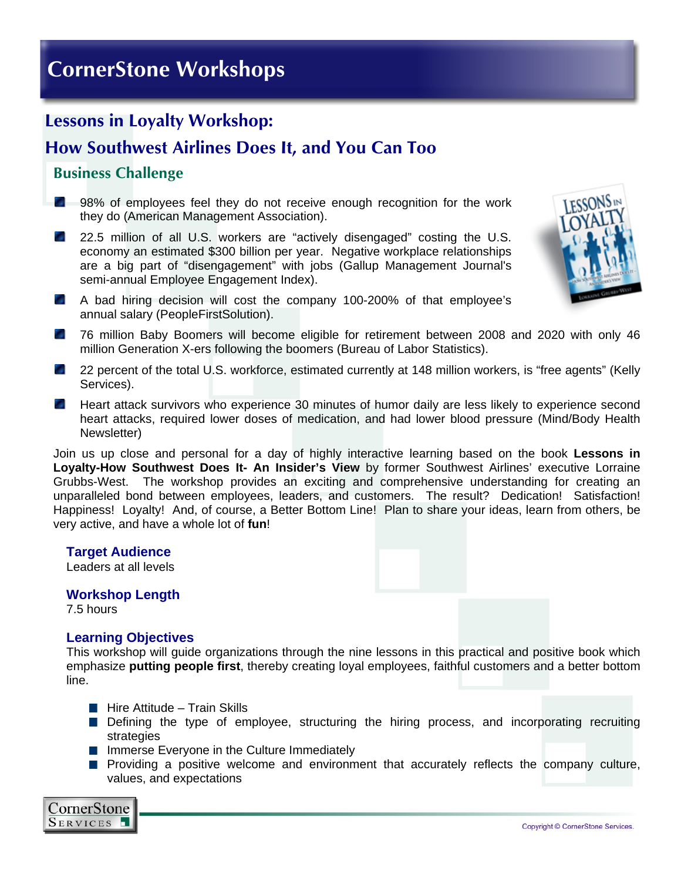# **Lessons in Loyalty Workshop:**

# **How Southwest Airlines Does It, and You Can Too**

## **Business Challenge**

- **2** 98% of employees feel they do not receive enough recognition for the work they do (American Management Association).
- ng p 22.5 million of all U.S. workers are "actively disengaged" costing the U.S. economy an estimated \$300 billion per year. Negative workplace relationships are a big part of "disengagement" with jobs (Gallup Management Journal's semi-annual Employee Engagement Index).
- A bad hiring decision will cost the company 100-200% of that employee's annual salary (PeopleFirstSolution).



- **2008** T6 million Baby Boomers will become eligible for retirement between 2008 and 2020 with only 46 million Generation X-ers following the boomers (Bureau of Labor Statistics).
- 22 percent of the total U.S. workforce, estimated currently at 148 million workers, is "free agents" (Kelly Services).
- Heart attack survivors who experience 30 minutes of humor daily are less likely to experience second heart attacks, required lower doses of medication, and had lower blood pressure (Mind/Body Health Newsletter)

Join us up close and personal for a day of highly interactive learning based on the book **Lessons in Loyalty-How Southwest Does It- An Insider's View** by former Southwest Airlines' executive Lorraine Grubbs-West. The workshop provides an exciting and comprehensive understanding for creating an unparalleled bond between employees, leaders, and customers. The result? Dedication! Satisfaction! Happiness! Loyalty! And, of course, a Better Bottom Line! Plan to share your ideas, learn from others, be very active, and have a whole lot of **fun**!

#### **Target Audience**

Leaders at all levels

#### **Workshop Length**

7.5 hours

#### **Learning Objectives**

This workshop will guide organizations through the nine lessons in this practical and positive book which emphasize **putting people first**, thereby creating loyal employees, faithful customers and a better bottom line.

- $\blacksquare$  Hire Attitude Train Skills
- **Defining the type of employee, structuring the hiring process, and incorporating recruiting** strategies
- **Immerse Everyone in the Culture Immediately**
- **Providing a positive welcome and environment that accurately reflects the company culture,** values, and expectations